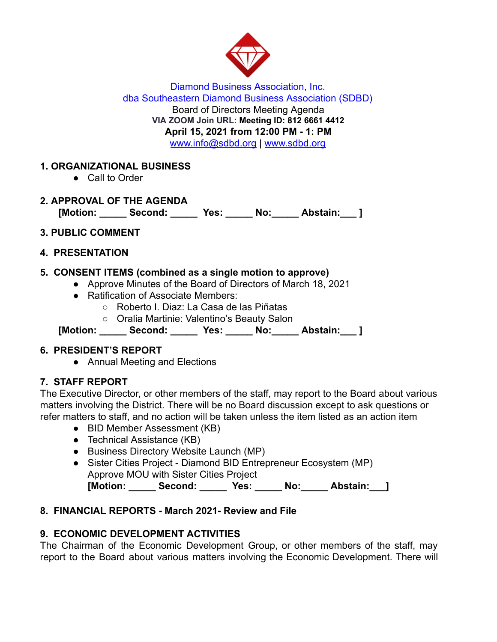

Diamond Business Association, Inc. dba Southeastern Diamond Business Association (SDBD) Board of Directors Meeting Agenda **VIA ZOOM Join URL: Meeting ID: 812 6661 4412 April 15, 2021 from 12:00 PM - 1: PM**  www.info@sdbd.org | [www.sdbd.org](http://www.sdbd.org/)

# **1. ORGANIZATIONAL BUSINESS**

● Call to Order

# **2. APPROVAL OF THE AGENDA**

**[Motion: \_\_\_\_\_ Second: \_\_\_\_\_ Yes: \_\_\_\_\_ No:\_\_\_\_\_ Abstain:\_\_\_ ]** 

# **3. PUBLIC COMMENT**

### **4. PRESENTATION**

# **5. CONSENT ITEMS (combined as a single motion to approve)**

- Approve Minutes of the Board of Directors of March 18, 2021
- Ratification of Associate Members:
	- Roberto I. Diaz: La Casa de las Piñatas
	- Oralia Martinie: Valentino's Beauty Salon

**[Motion: \_\_\_\_\_ Second: \_\_\_\_\_ Yes: \_\_\_\_\_ No:\_\_\_\_\_ Abstain:\_\_\_ ]** 

## **6. PRESIDENT'S REPORT**

● Annual Meeting and Elections

## **7. STAFF REPORT**

The Executive Director, or other members of the staff, may report to the Board about various matters involving the District. There will be no Board discussion except to ask questions or refer matters to staff, and no action will be taken unless the item listed as an action item

- BID Member Assessment (KB)
- Technical Assistance (KB)
- Business Directory Website Launch (MP)
- Sister Cities Project Diamond BID Entrepreneur Ecosystem (MP) Approve MOU with Sister Cities Project

[Motion: Second: Yes: No: Abstain: ]

# **8. FINANCIAL REPORTS - March 2021- Review and File**

# **9. ECONOMIC DEVELOPMENT ACTIVITIES**

The Chairman of the Economic Development Group, or other members of the staff, may report to the Board about various matters involving the Economic Development. There will